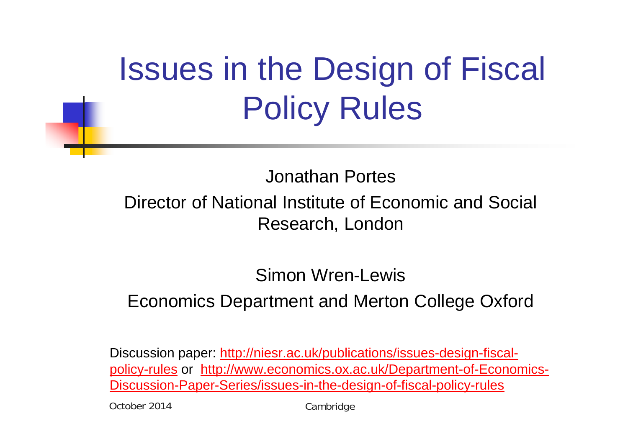# Issues in the Design of Fiscal Policy Rules

Jonathan Portes

#### Director of National Institute of Economic and Social Research, London

#### Simon Wren-LewisEconomics Department and Merton College Oxford

Discussion paper: http://niesr.ac.uk/publications/issues-design-fiscalpolicy-rules or http://www.economics.ox.ac.uk/Department-of-Economics-Discussion-Paper-Series/issues-in-the-design-of-fiscal-policy-rules

October 2014

**Cambridge**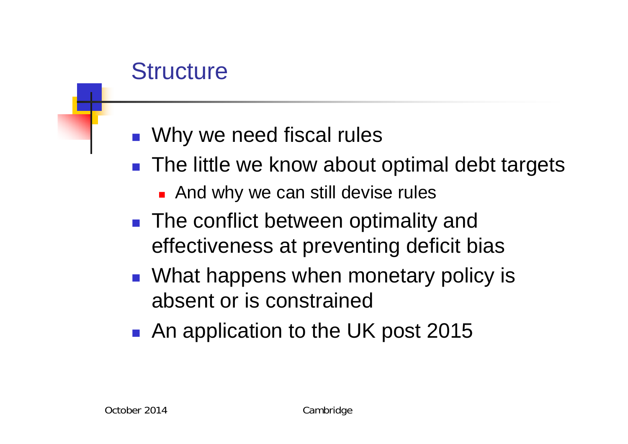### **Structure**

- **NHT** Why we need fiscal rules
- The little we know about optimal debt targets
	- **And why we can still devise rules**
- **The conflict between optimality and** effectiveness at preventing deficit bias
- **NHAT** What happens when monetary policy is absent or is constrained
- **An application to the UK post 2015**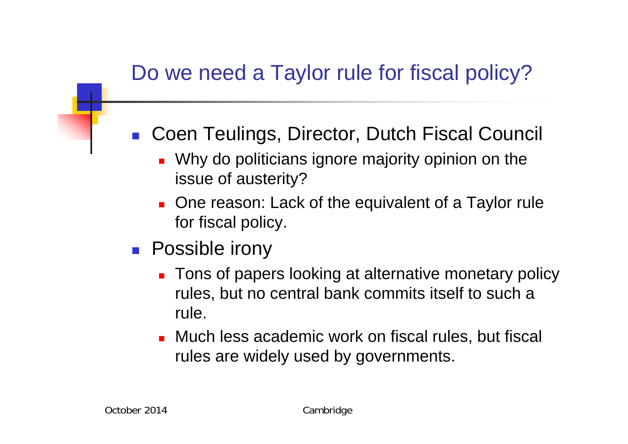#### Do we need a Taylor rule for fiscal policy?

- Coen Teulings, Director, Dutch Fiscal Council
	- **Nituber 10 Millong Dimesa** ignore majority opinion on the issue of austerity?
	- **Diam** One reason: Lack of the equivalent of a Taylor rule for fiscal policy.
- **Possible irony** 
	- **Tons of papers looking at alternative monetary policy** rules, but no central bank commits itself to such a rule.
	- **Nuch less academic work on fiscal rules, but fiscal** rules are widely used by governments.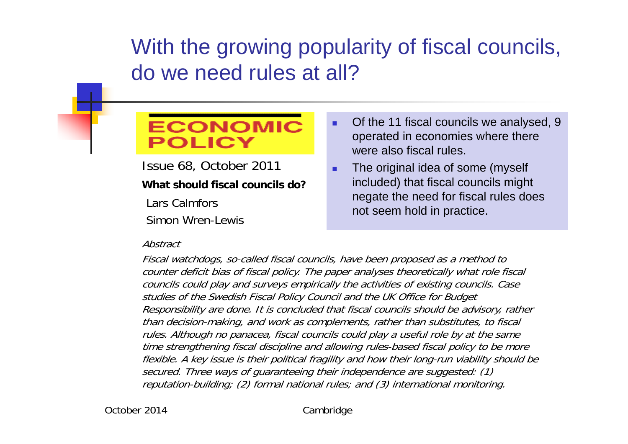#### With the growing popularity of fiscal councils, do we need rules at all?

#### **ECONOMIC** OLICY

Issue 68, October 2011 **What should fiscal councils do?**

Lars Calmfors

Simon Wren-Lewis

#### Abstract

#### п. Of the 11 fiscal councils we analysed, 9 operated in economies where there were also fiscal rules.

F The original idea of some (myself included) that fiscal councils might negate the need for fiscal rules does not seem hold in practice.

Fiscal watchdogs, so-called fiscal councils, have been proposed as a method to counter deficit bias of fiscal policy. The paper analyses theoretically what role fiscal councils could play and surveys empirically the activities of existing councils. Case studies of the Swedish Fiscal Policy Council and the UK Office for Budget Responsibility are done. It is concluded that fiscal councils should be advisory, rather than decision-making, and work as complements, rather than substitutes, to fiscal rules. Although no panacea, fiscal councils could play a useful role by at the same time strengthening fiscal discipline and allowing rules-based fiscal policy to be more flexible. A key issue is their political fragility and how their long-run viability should be secured. Three ways of guaranteeing their independence are suggested: (1) reputation-building; (2) formal national rules; and (3) international monitoring.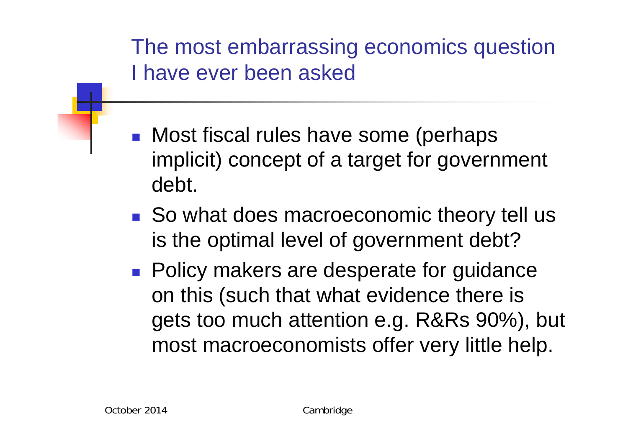The most embarrassing economics question I have ever been asked

- **Nost fiscal rules have some (perhaps** implicit) concept of a target for government debt.
- So what does macroeconomic theory tell us is the optimal level of government debt?
- **Policy makers are desperate for guidance** on this (such that what evidence there is gets too much attention e.g. R&Rs 90%), but most macroeconomists offer very little help.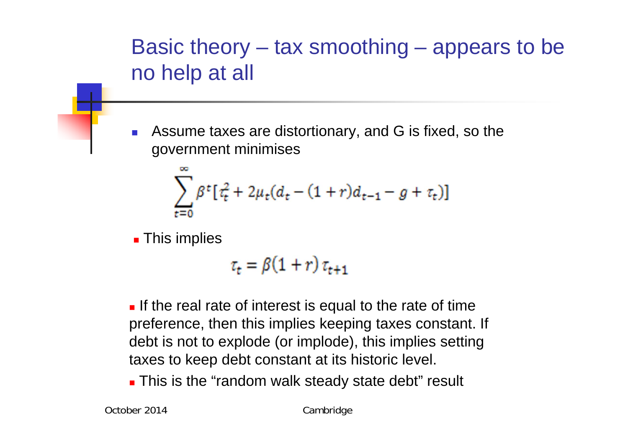

F. Assume taxes are distortionary, and G is fixed, so the government minimises

$$
\sum_{t=0}^{\infty} \beta^t \big[ \tau_t^2 + 2\mu_t (d_t - (1+r)d_{t-1} - g + \tau_t) \big]
$$

**This implies** 

 $\tau_{t} = \beta(1+r)\tau_{t+1}$ 

**If the real rate of interest is equal to the rate of time** preference, then this implies keeping taxes constant. If debt is not to explode (or implode), this implies setting taxes to keep debt constant at its historic level.

**This is the "random walk steady state debt" result**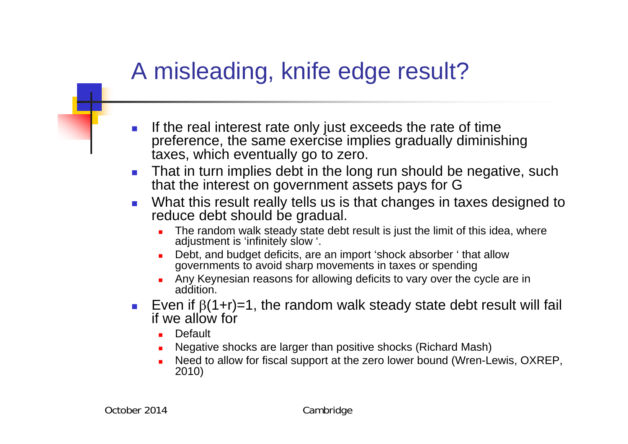### A misleading, knife edge result?

- P. If the real interest rate only just exceeds the rate of time preference, the same exercise implies gradually diminishing taxes, which eventually go to zero.
- $\mathcal{C}^{\mathcal{A}}$  That in turn implies debt in the long run should be negative, such that the interest on government assets pays for G
- $\overline{\mathbb{R}^2}$  What this result really tells us is that changes in taxes designed to reduce debt should be gradual.
	- The random walk steady state debt result is just the limit of this idea, where adjustment is 'infinitely slow '.
	- г Debt, and budget deficits, are an import 'shock absorber ' that allow governments to avoid sharp movements in taxes or spending
	- г Any Keynesian reasons for allowing deficits to vary over the cycle are in addition.
- $\mathcal{L}_{\rm{max}}$ Even if  $\beta$ (1+r)=1, the random walk steady state debt result will fail if we allow for
	- г **Default**
	- г Negative shocks are larger than positive shocks (Richard Mash)
	- г Need to allow for fiscal support at the zero lower bound (Wren-Lewis, OXREP, 2010)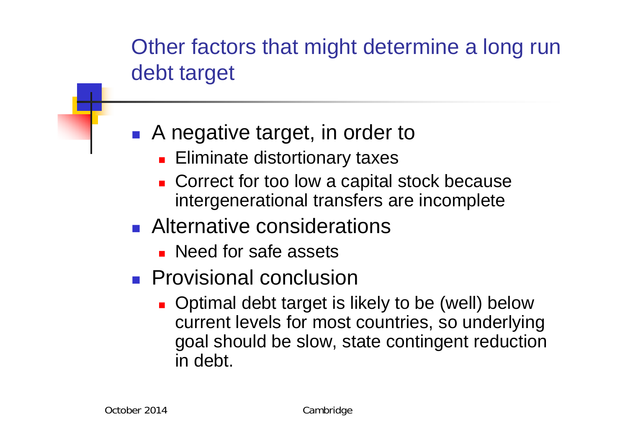Other factors that might determine a long run debt target

#### **A** negative target, in order to

- **Eliminate distortionary taxes**
- Correct for too low a capital stock because intergenerational transfers are incomplete
- **Alternative considerations** 
	- **Need for safe assets**
- **Provisional conclusion** 
	- **Detimal debt target is likely to be (well) below** current levels for most countries, so underlying goal should be slow, state contingent reduction in debt.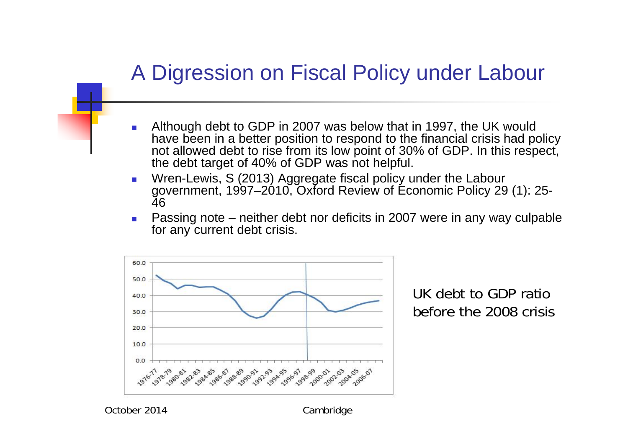#### A Digression on Fiscal Policy under Labour

- $\overline{\phantom{a}}$  Although debt to GDP in 2007 was below that in 1997, the UK would have been in a better position to respond to the financial crisis had policy not allowed debt to rise from its low point of 30% of GDP. In this respect, the debt target of 40% of GDP was not helpful.
- $\mathcal{L}_{\mathcal{A}}$  Wren-Lewis, S (2013) Aggregate fiscal policy under the Labour government, 1997–2010, Oxford Review of Economic Policy 29 (1): 25- 46
- Passing note neither debt nor deficits in 2007 were in any way culpable for any current debt crisis.



UK debt to GDP ratio before the 2008 crisis

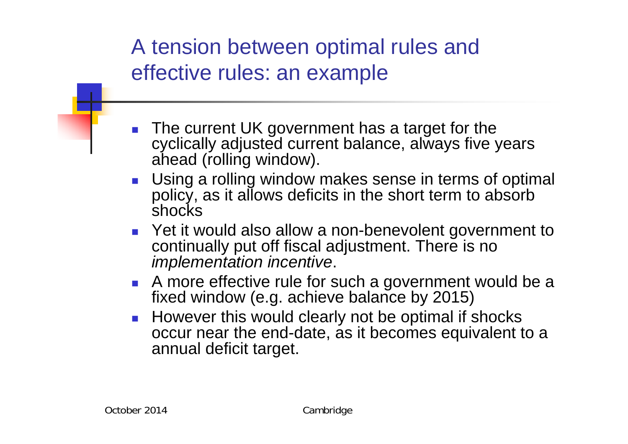A tension between optimal rules and effective rules: an example

- $\overline{\mathbb{R}^n}$  The current UK government has a target for the cyclically adjusted current balance, always five years ahead (rolling window).
- **Using a rolling window makes sense in terms of optimal** policy, as it allows deficits in the short term to absorb shocks
- Yet it would also allow a non-benevolent government to continually put off fiscal adjustment. There is no *implementation incentive*.
- **A** more effective rule for such a government would be a fixed window (e.g. achieve balance by 2015)
- **However this would clearly not be optimal if shocks** occur near the end-date, as it becomes equivalent to a annual deficit target.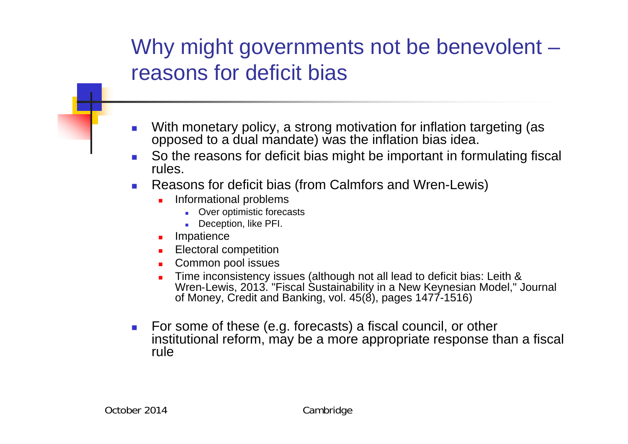#### Why might governments not be benevolent – reasons for deficit bias

- П With monetary policy, a strong motivation for inflation targeting (as opposed to a dual mandate) was the inflation bias idea.
- $\overline{\phantom{a}}$  So the reasons for deficit bias might be important in formulating fiscal rules.
- **Reasons for deficit bias (from Calmfors and Wren-Lewis)** 
	- г Informational problems
		- **Diamage 1 Diamage 1 Diamage 13 Diamage 13 Diamage 13 Diamage 13 Diamage 13 Diamage 13 Diamage 14 Diamage 14 Di**
		- Deception, like PFI.
	- **Impatience**
	- **Electoral competition**
	- **Common pool issues**
	- г Time inconsistency issues (although not all lead to deficit bias: Leith & Wren‐Lewis, 2013. "Fiscal Sustainability in a New Keynesian Model," Journal of Money, Credit and Banking, vol. 45(8), pages 1477-1516)
- For some of these (e.g. forecasts) a fiscal council, or other institutional reform, may be a more appropriate response than a fiscal rule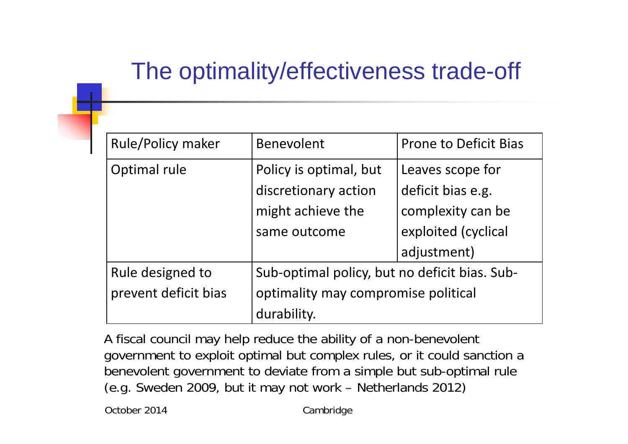## The optimality/effectiveness trade-off

| <b>Rule/Policy maker</b> | <b>Benevolent</b>                             | <b>Prone to Deficit Bias</b> |  |  |  |
|--------------------------|-----------------------------------------------|------------------------------|--|--|--|
| Optimal rule             | Policy is optimal, but                        | Leaves scope for             |  |  |  |
|                          | discretionary action                          | deficit bias e.g.            |  |  |  |
|                          | might achieve the                             | complexity can be            |  |  |  |
|                          | same outcome                                  | exploited (cyclical          |  |  |  |
|                          |                                               | adjustment)                  |  |  |  |
| Rule designed to         | Sub-optimal policy, but no deficit bias. Sub- |                              |  |  |  |
| prevent deficit bias     | optimality may compromise political           |                              |  |  |  |
|                          | durability.                                   |                              |  |  |  |

A fiscal council may help reduce the ability of a non-benevolent government to exploit optimal but complex rules, or it could sanction a benevolent government to deviate from a simple but sub-optimal rule (e.g. Sweden 2009, but it may not work – Netherlands 2012)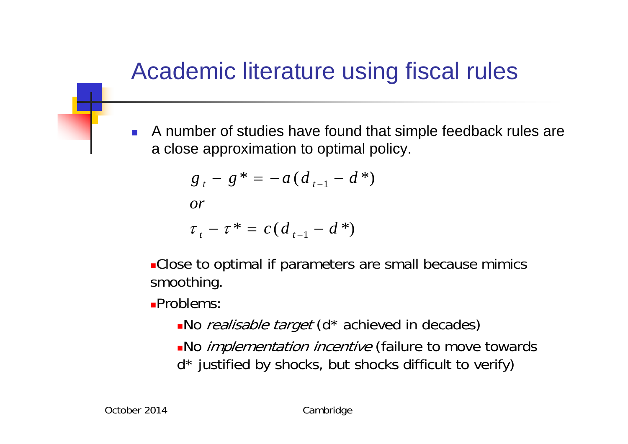### Academic literature using fiscal rules

 $\overline{\mathcal{A}}$  A number of studies have found that simple feedback rules are a close approximation to optimal policy.

$$
g_{t} - g^* = -a(d_{t-1} - d^*)
$$

*or*

$$
\tau_t - \tau^* = c(d_{t-1} - d^*)
$$

**-Close to optimal if parameters are small because mimics** smoothing.

Problems:

- No realisable target (d<sup>\*</sup> achieved in decades)
- No *implementation incentive* (failure to move towards d\* justified by shocks, but shocks difficult to verify)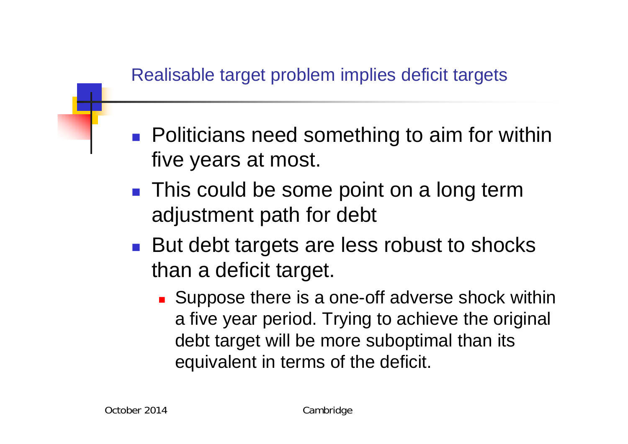- **Politicians need something to aim for within** five years at most.
- **This could be some point on a long term** adjustment path for debt
- **But debt targets are less robust to shocks** than a deficit target.
	- Suppose there is a one-off adverse shock within a five year period. Trying to achieve the original debt target will be more suboptimal than its equivalent in terms of the deficit.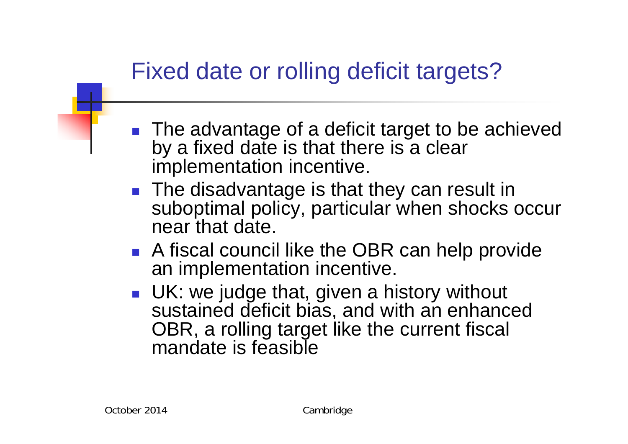## Fixed date or rolling deficit targets?

- The advantage of a deficit target to be achieved by a fixed date is that there is a clear implementation incentive.
- **The disadvantage is that they can result in** suboptimal policy, particular when shocks occur near that date.
- **A fiscal council like the OBR can help provide** an implementation incentive.
- **UK: we judge that, given a history without** sustained deficit bias, and with an enhanced OBR, a rolling target like the current fiscal mandate is feasible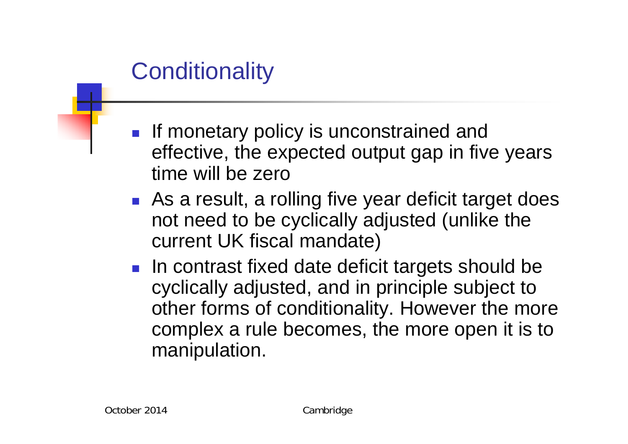## **Conditionality**

- **If monetary policy is unconstrained and** effective, the expected output gap in five years time will be zero
- **As a result, a rolling five year deficit target does** not need to be cyclically adjusted (unlike the current UK fiscal mandate)
- **In contrast fixed date deficit targets should be** cyclically adjusted, and in principle subject to other forms of conditionality. However the more complex a rule becomes, the more open it is to manipulation.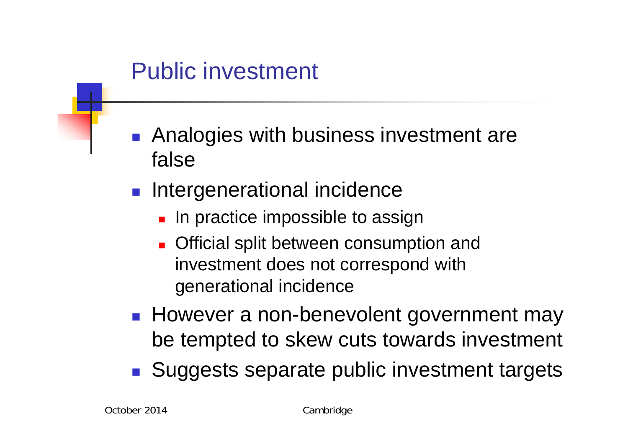#### Public investment

- **Analogies with business investment are** false
- **Intergenerational incidence** 
	- **In practice impossible to assign**
	- **Official split between consumption and** investment does not correspond with generational incidence
- **However a non-benevolent government may** be tempted to skew cuts towards investment
- **Suggests separate public investment targets**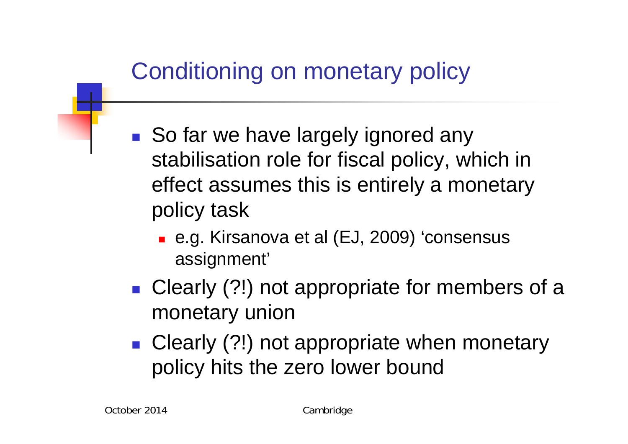## Conditioning on monetary policy

- So far we have largely ignored any stabilisation role for fiscal policy, which in effect assumes this is entirely a monetary policy task
	- e.g. Kirsanova et al (EJ, 2009) 'consensus assignment'
- **Clearly (?!) not appropriate for members of a** monetary union
- **Clearly (?!) not appropriate when monetary** policy hits the zero lower bound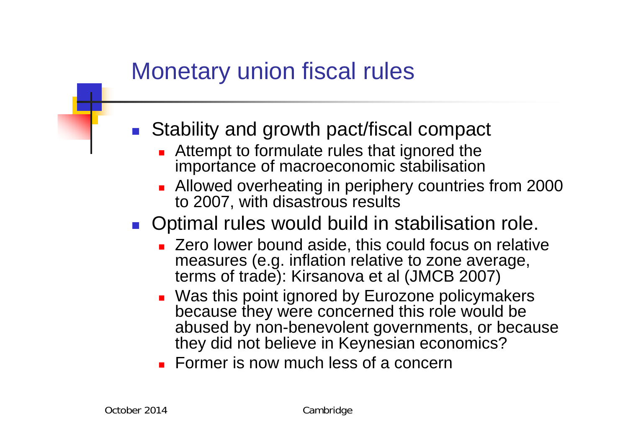### Monetary union fiscal rules

- Stability and growth pact/fiscal compact
	- **Attempt to formulate rules that ignored the** importance of macroeconomic stabilisation
	- **Allowed overheating in periphery countries from 2000** to 2007, with disastrous results
- **Optimal rules would build in stabilisation role.** 
	- **EXERG** Zero lower bound aside, this could focus on relative measures (e.g. inflation relative to zone average, terms of trade): Kirsanova et al (JMCB 2007)
	- Was this point ignored by Eurozone policymakers because they were concerned this role would be abused by non-benevolent governments, or because they did not believe in Keynesian economics?
	- **Former is now much less of a concern**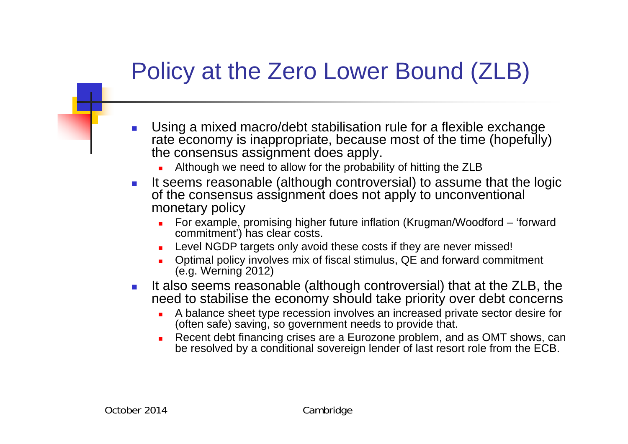## Policy at the Zero Lower Bound (ZLB)

- П Using a mixed macro/debt stabilisation rule for a flexible exchange rate economy is inappropriate, because most of the time (hopefully) the consensus assignment does apply.
	- г Although we need to allow for the probability of hitting the ZLB
- $\mathcal{L}^{\mathcal{A}}$  It seems reasonable (although controversial) to assume that the logic of the consensus assignment does not apply to unconventional monetary policy
	- г For example, promising higher future inflation (Krugman/Woodford – 'forward commitment') has clear costs.
	- г Level NGDP targets only avoid these costs if they are never missed!
	- **Detimal policy involves mix of fiscal stimulus, QE and forward commitment** (e.g. Werning 2012)
- $\sim$  It also seems reasonable (although controversial) that at the ZLB, the need to stabilise the economy should take priority over debt concerns
	- г A balance sheet type recession involves an increased private sector desire for (often safe) saving, so government needs to provide that.
	- г Recent debt financing crises are a Eurozone problem, and as OMT shows, can be resolved by a conditional sovereign lender of last resort role from the ECB.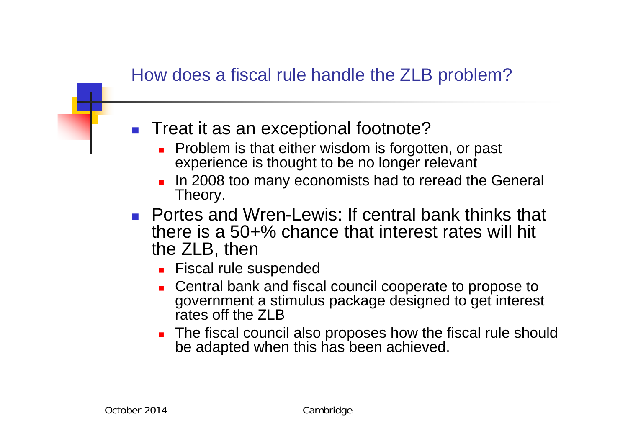#### How does a fiscal rule handle the ZLB problem?

- Treat it as an exceptional footnote?
	- **Problem is that either wisdom is forgotten, or past** experience is thought to be no longer relevant
	- П In 2008 too many economists had to reread the General Theory.
- **Portes and Wren-Lewis: If central bank thinks that** there is a 50+% chance that interest rates will hit the ZLB, then
	- **Fiscal rule suspended**
	- **Central bank and fiscal council cooperate to propose to** government a stimulus package designed to get interest rates off the ZLB
	- **The fiscal council also proposes how the fiscal rule should** be adapted when this has been achieved.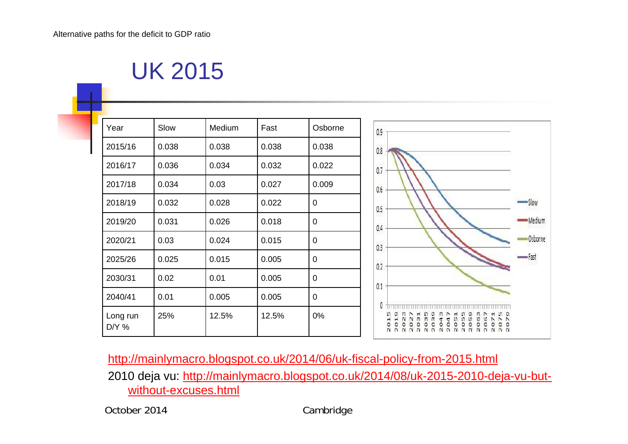#### UK 2015

| Year                | Slow  | Medium | Fast  | Osborne     | 0.9                                                                                   |
|---------------------|-------|--------|-------|-------------|---------------------------------------------------------------------------------------|
| 2015/16             | 0.038 | 0.038  | 0.038 | 0.038       | 0.8                                                                                   |
| 2016/17             | 0.036 | 0.034  | 0.032 | 0.022       | 0.7                                                                                   |
| 2017/18             | 0.034 | 0.03   | 0.027 | 0.009       | 0.6                                                                                   |
| 2018/19             | 0.032 | 0.028  | 0.022 | $\mathbf 0$ | 0.5                                                                                   |
| 2019/20             | 0.031 | 0.026  | 0.018 | $\mathbf 0$ | 0.4                                                                                   |
| 2020/21             | 0.03  | 0.024  | 0.015 | $\pmb{0}$   | 0.3                                                                                   |
| 2025/26             | 0.025 | 0.015  | 0.005 | $\pmb{0}$   | Wolfg<br>0.2                                                                          |
| 2030/31             | 0.02  | 0.01   | 0.005 | $\mathbf 0$ |                                                                                       |
| 2040/41             | 0.01  | 0.005  | 0.005 | $\mathbf 0$ | 0.1                                                                                   |
| Long run<br>$DYY$ % | 25%   | 12.5%  | 12.5% | 0%          | n<br>$\sim$ $\sim$<br>۰<br>$\circ$<br>NNNNNN<br>N <sub>N</sub><br>N <sub>N</sub><br>N |

http://mainlymacro.blogspot.co.uk/2014/06/uk-fiscal-policy-from-2015.html 2010 deja vu: http://mainlymacro.blogspot.co.uk/2014/08/uk-2015-2010-deja-vu-butwithout-excuses.html

October 2014 Cambridge